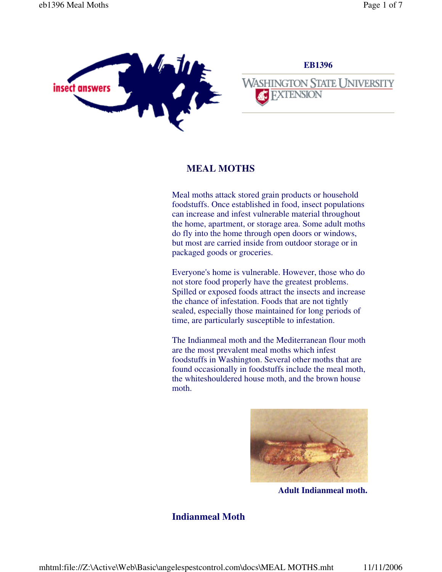

# **EB1396 WASHINGTON STATE UNIVERSITY FXTENSION**

# **MEAL MOTHS**

Meal moths attack stored grain products or household foodstuffs. Once established in food, insect populations can increase and infest vulnerable material throughout the home, apartment, or storage area. Some adult moths do fly into the home through open doors or windows, but most are carried inside from outdoor storage or in packaged goods or groceries.

Everyone's home is vulnerable. However, those who do not store food properly have the greatest problems. Spilled or exposed foods attract the insects and increase the chance of infestation. Foods that are not tightly sealed, especially those maintained for long periods of time, are particularly susceptible to infestation.

The Indianmeal moth and the Mediterranean flour moth are the most prevalent meal moths which infest foodstuffs in Washington. Several other moths that are found occasionally in foodstuffs include the meal moth, the whiteshouldered house moth, and the brown house moth.



**Adult Indianmeal moth.**

# **Indianmeal Moth**

mhtml:file://Z:\Active\Web\Basic\angelespestcontrol.com\docs\MEAL MOTHS.mht 11/11/2006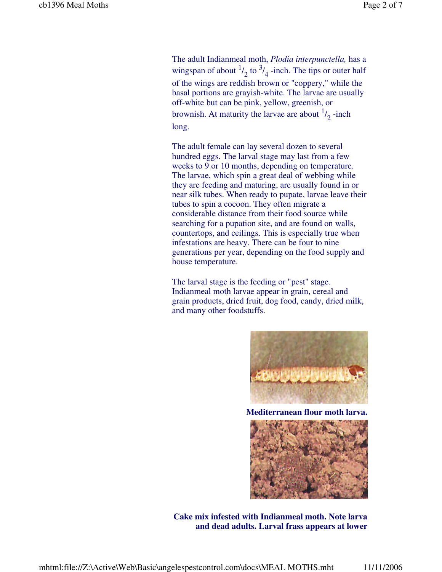The adult Indianmeal moth, *Plodia interpunctella,* has a wingspan of about  $\frac{1}{2}$  to  $\frac{3}{4}$  -inch. The tips or outer half of the wings are reddish brown or "coppery," while the basal portions are grayish-white. The larvae are usually off-white but can be pink, yellow, greenish, or brownish. At maturity the larvae are about  $\frac{1}{2}$ -inch long.

The adult female can lay several dozen to several hundred eggs. The larval stage may last from a few weeks to 9 or 10 months, depending on temperature. The larvae, which spin a great deal of webbing while they are feeding and maturing, are usually found in or near silk tubes. When ready to pupate, larvae leave their tubes to spin a cocoon. They often migrate a considerable distance from their food source while searching for a pupation site, and are found on walls, countertops, and ceilings. This is especially true when infestations are heavy. There can be four to nine generations per year, depending on the food supply and house temperature.

The larval stage is the feeding or "pest" stage. Indianmeal moth larvae appear in grain, cereal and grain products, dried fruit, dog food, candy, dried milk, and many other foodstuffs.



**Mediterranean flour moth larva.**



 **Cake mix infested with Indianmeal moth. Note larva and dead adults. Larval frass appears at lower**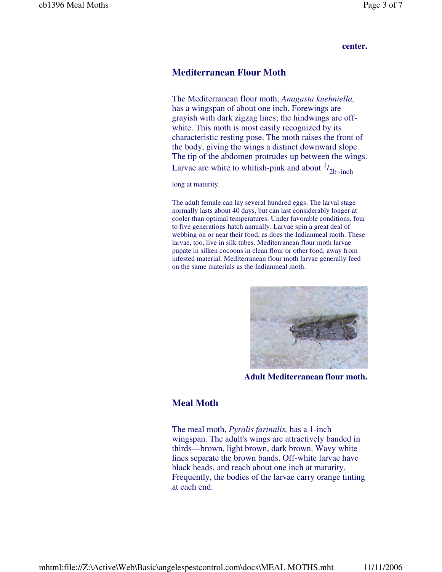#### **center.**

#### **Mediterranean Flour Moth**

The Mediterranean flour moth, *Anagasta kuehniella,* has a wingspan of about one inch. Forewings are grayish with dark zigzag lines; the hindwings are offwhite. This moth is most easily recognized by its characteristic resting pose. The moth raises the front of the body, giving the wings a distinct downward slope. The tip of the abdomen protrudes up between the wings. Larvae are white to whitish-pink and about  $\frac{1}{2}$ <sub>2b</sub>-inch

long at maturity.

The adult female can lay several hundred eggs. The larval stage normally lasts about 40 days, but can last considerably longer at cooler than optimal temperatures. Under favorable conditions, four to five generations hatch annually. Larvae spin a great deal of webbing on or near their food, as does the Indianmeal moth. These larvae, too, live in silk tubes. Mediterranean flour moth larvae pupate in silken cocoons in clean flour or other food, away from infested material. Mediterranean flour moth larvae generally feed on the same materials as the Indianmeal moth.



**Adult Mediterranean flour moth.**

#### **Meal Moth**

The meal moth, *Pyralis farinalis,* has a 1-inch wingspan. The adult's wings are attractively banded in thirds—brown, light brown, dark brown. Wavy white lines separate the brown bands. Off-white larvae have black heads, and reach about one inch at maturity. Frequently, the bodies of the larvae carry orange tinting at each end.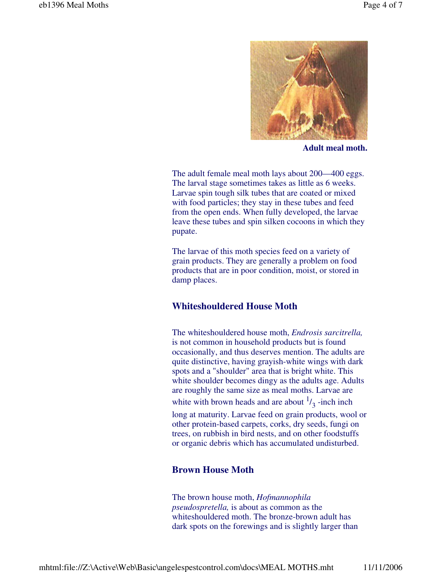

**Adult meal moth.**

The adult female meal moth lays about 200—400 eggs. The larval stage sometimes takes as little as 6 weeks. Larvae spin tough silk tubes that are coated or mixed with food particles; they stay in these tubes and feed from the open ends. When fully developed, the larvae leave these tubes and spin silken cocoons in which they pupate.

The larvae of this moth species feed on a variety of grain products. They are generally a problem on food products that are in poor condition, moist, or stored in damp places.

### **Whiteshouldered House Moth**

The whiteshouldered house moth, *Endrosis sarcitrella,* is not common in household products but is found occasionally, and thus deserves mention. The adults are quite distinctive, having grayish-white wings with dark spots and a "shoulder" area that is bright white. This white shoulder becomes dingy as the adults age. Adults are roughly the same size as meal moths. Larvae are white with brown heads and are about  $\frac{1}{3}$  -inch inch long at maturity. Larvae feed on grain products, wool or

other protein-based carpets, corks, dry seeds, fungi on trees, on rubbish in bird nests, and on other foodstuffs or organic debris which has accumulated undisturbed.

### **Brown House Moth**

The brown house moth, *Hofmannophila pseudospretella,* is about as common as the whiteshouldered moth. The bronze-brown adult has dark spots on the forewings and is slightly larger than

mhtml:file://Z:\Active\Web\Basic\angelespestcontrol.com\docs\MEAL MOTHS.mht 11/11/2006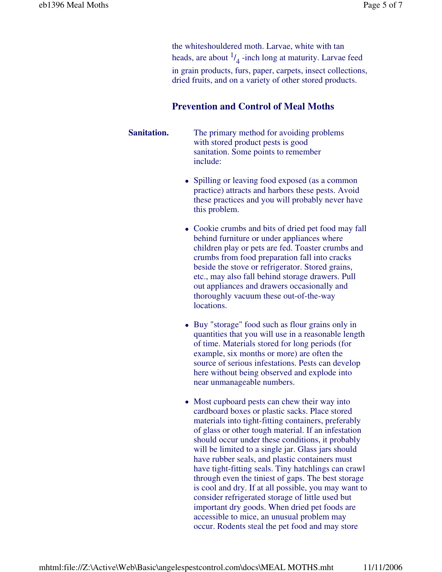the whiteshouldered moth. Larvae, white with tan heads, are about  $\frac{1}{4}$ -inch long at maturity. Larvae feed in grain products, furs, paper, carpets, insect collections, dried fruits, and on a variety of other stored products.

# **Prevention and Control of Meal Moths**

**Sanitation.** The primary method for avoiding problems with stored product pests is good sanitation. Some points to remember include:

- Spilling or leaving food exposed (as a common practice) attracts and harbors these pests. Avoid these practices and you will probably never have this problem.
- Cookie crumbs and bits of dried pet food may fall behind furniture or under appliances where children play or pets are fed. Toaster crumbs and crumbs from food preparation fall into cracks beside the stove or refrigerator. Stored grains, etc., may also fall behind storage drawers. Pull out appliances and drawers occasionally and thoroughly vacuum these out-of-the-way locations.
- Buy "storage" food such as flour grains only in quantities that you will use in a reasonable length of time. Materials stored for long periods (for example, six months or more) are often the source of serious infestations. Pests can develop here without being observed and explode into near unmanageable numbers.
- Most cupboard pests can chew their way into cardboard boxes or plastic sacks. Place stored materials into tight-fitting containers, preferably of glass or other tough material. If an infestation should occur under these conditions, it probably will be limited to a single jar. Glass jars should have rubber seals, and plastic containers must have tight-fitting seals. Tiny hatchlings can crawl through even the tiniest of gaps. The best storage is cool and dry. If at all possible, you may want to consider refrigerated storage of little used but important dry goods. When dried pet foods are accessible to mice, an unusual problem may occur. Rodents steal the pet food and may store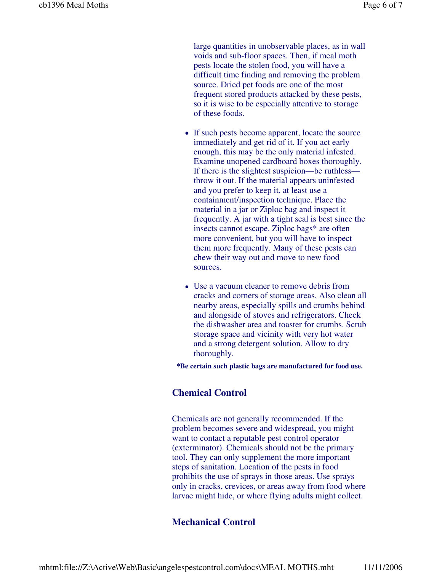large quantities in unobservable places, as in wall voids and sub-floor spaces. Then, if meal moth pests locate the stolen food, you will have a difficult time finding and removing the problem source. Dried pet foods are one of the most frequent stored products attacked by these pests, so it is wise to be especially attentive to storage of these foods.

- If such pests become apparent, locate the source immediately and get rid of it. If you act early enough, this may be the only material infested. Examine unopened cardboard boxes thoroughly. If there is the slightest suspicion—be ruthless throw it out. If the material appears uninfested and you prefer to keep it, at least use a containment/inspection technique. Place the material in a jar or Ziploc bag and inspect it frequently. A jar with a tight seal is best since the insects cannot escape. Ziploc bags\* are often more convenient, but you will have to inspect them more frequently. Many of these pests can chew their way out and move to new food sources.
- Use a vacuum cleaner to remove debris from cracks and corners of storage areas. Also clean all nearby areas, especially spills and crumbs behind and alongside of stoves and refrigerators. Check the dishwasher area and toaster for crumbs. Scrub storage space and vicinity with very hot water and a strong detergent solution. Allow to dry thoroughly.

**\*Be certain such plastic bags are manufactured for food use.**

# **Chemical Control**

Chemicals are not generally recommended. If the problem becomes severe and widespread, you might want to contact a reputable pest control operator (exterminator). Chemicals should not be the primary tool. They can only supplement the more important steps of sanitation. Location of the pests in food prohibits the use of sprays in those areas. Use sprays only in cracks, crevices, or areas away from food where larvae might hide, or where flying adults might collect.

# **Mechanical Control**